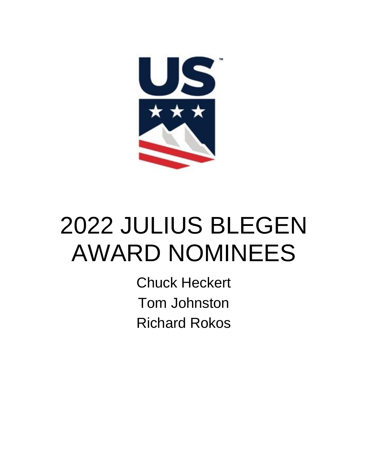

## 2022 JULIUS BLEGEN AWARD NOMINEES

Chuck Heckert Tom Johnston Richard Rokos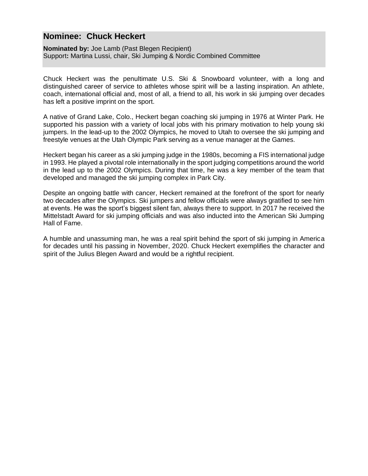## **Nominee: Chuck Heckert**

**Nominated by:** Joe Lamb (Past Blegen Recipient) Support**:** Martina Lussi, chair, Ski Jumping & Nordic Combined Committee

Chuck Heckert was the penultimate U.S. Ski & Snowboard volunteer, with a long and distinguished career of service to athletes whose spirit will be a lasting inspiration. An athlete, coach, international official and, most of all, a friend to all, his work in ski jumping over decades has left a positive imprint on the sport.

A native of Grand Lake, Colo., Heckert began coaching ski jumping in 1976 at Winter Park. He supported his passion with a variety of local jobs with his primary motivation to help young ski jumpers. In the lead-up to the 2002 Olympics, he moved to Utah to oversee the ski jumping and freestyle venues at the Utah Olympic Park serving as a venue manager at the Games.

Heckert began his career as a ski jumping judge in the 1980s, becoming a FIS international judge in 1993. He played a pivotal role internationally in the sport judging competitions around the world in the lead up to the 2002 Olympics. During that time, he was a key member of the team that developed and managed the ski jumping complex in Park City.

Despite an ongoing battle with cancer, Heckert remained at the forefront of the sport for nearly two decades after the Olympics. Ski jumpers and fellow officials were always gratified to see him at events. He was the sport's biggest silent fan, always there to support. In 2017 he received the Mittelstadt Award for ski jumping officials and was also inducted into the American Ski Jumping Hall of Fame.

A humble and unassuming man, he was a real spirit behind the sport of ski jumping in America for decades until his passing in November, 2020. Chuck Heckert exemplifies the character and spirit of the Julius Blegen Award and would be a rightful recipient.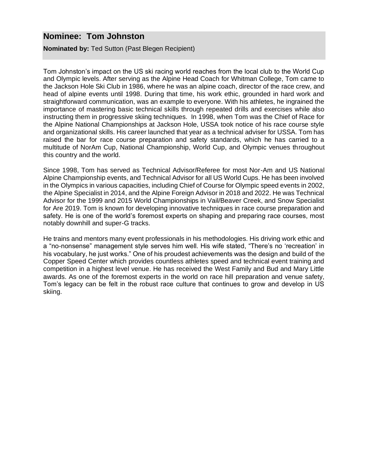## **Nominee: Tom Johnston**

**Nominated by:** Ted Sutton (Past Blegen Recipient)

Tom Johnston's impact on the US ski racing world reaches from the local club to the World Cup and Olympic levels. After serving as the Alpine Head Coach for Whitman College, Tom came to the Jackson Hole Ski Club in 1986, where he was an alpine coach, director of the race crew, and head of alpine events until 1998. During that time, his work ethic, grounded in hard work and straightforward communication, was an example to everyone. With his athletes, he ingrained the importance of mastering basic technical skills through repeated drills and exercises while also instructing them in progressive skiing techniques. In 1998, when Tom was the Chief of Race for the Alpine National Championships at Jackson Hole, USSA took notice of his race course style and organizational skills. His career launched that year as a technical adviser for USSA. Tom has raised the bar for race course preparation and safety standards, which he has carried to a multitude of NorAm Cup, National Championship, World Cup, and Olympic venues throughout this country and the world.

Since 1998, Tom has served as Technical Advisor/Referee for most Nor-Am and US National Alpine Championship events, and Technical Advisor for all US World Cups. He has been involved in the Olympics in various capacities, including Chief of Course for Olympic speed events in 2002, the Alpine Specialist in 2014, and the Alpine Foreign Advisor in 2018 and 2022. He was Technical Advisor for the 1999 and 2015 World Championships in Vail/Beaver Creek, and Snow Specialist for Are 2019. Tom is known for developing innovative techniques in race course preparation and safety. He is one of the world's foremost experts on shaping and preparing race courses, most notably downhill and super-G tracks.

He trains and mentors many event professionals in his methodologies. His driving work ethic and a "no-nonsense" management style serves him well. His wife stated, "There's no 'recreation' in his vocabulary, he just works." One of his proudest achievements was the design and build of the Copper Speed Center which provides countless athletes speed and technical event training and competition in a highest level venue. He has received the West Family and Bud and Mary Little awards. As one of the foremost experts in the world on race hill preparation and venue safety, Tom's legacy can be felt in the robust race culture that continues to grow and develop in US skiing.